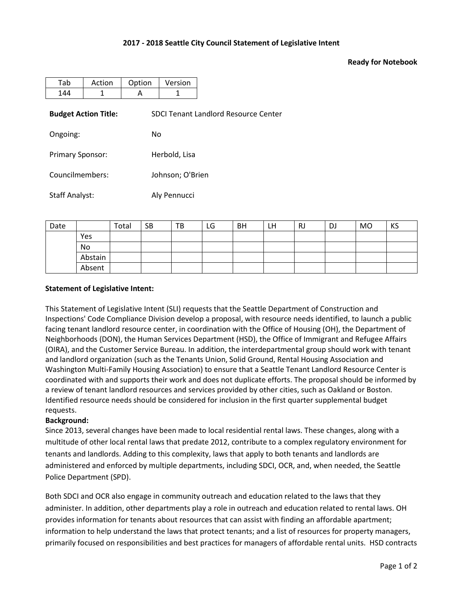## **2017 - 2018 Seattle City Council Statement of Legislative Intent**

## **Ready for Notebook**

| Tab                     | Action                      | Option | Version                                     |  |  |  |  |  |
|-------------------------|-----------------------------|--------|---------------------------------------------|--|--|--|--|--|
| 144                     | 1                           | A      | 1                                           |  |  |  |  |  |
|                         | <b>Budget Action Title:</b> |        | <b>SDCI Tenant Landlord Resource Center</b> |  |  |  |  |  |
| Ongoing:                |                             |        | No                                          |  |  |  |  |  |
| <b>Primary Sponsor:</b> |                             |        | Herbold, Lisa                               |  |  |  |  |  |
| Councilmembers:         |                             |        | Johnson; O'Brien                            |  |  |  |  |  |
| <b>Staff Analyst:</b>   |                             |        | Aly Pennucci                                |  |  |  |  |  |

| Date |         | Total | <b>SB</b> | ТB | LG | BH | LH | RJ | DJ | <b>MO</b> | KS |
|------|---------|-------|-----------|----|----|----|----|----|----|-----------|----|
|      | Yes     |       |           |    |    |    |    |    |    |           |    |
|      | No      |       |           |    |    |    |    |    |    |           |    |
|      | Abstain |       |           |    |    |    |    |    |    |           |    |
|      | Absent  |       |           |    |    |    |    |    |    |           |    |

## **Statement of Legislative Intent:**

This Statement of Legislative Intent (SLI) requests that the Seattle Department of Construction and Inspections' Code Compliance Division develop a proposal, with resource needs identified, to launch a public facing tenant landlord resource center, in coordination with the Office of Housing (OH), the Department of Neighborhoods (DON), the Human Services Department (HSD), the Office of Immigrant and Refugee Affairs (OIRA), and the Customer Service Bureau. In addition, the interdepartmental group should work with tenant and landlord organization (such as the Tenants Union, Solid Ground, Rental Housing Association and Washington Multi-Family Housing Association) to ensure that a Seattle Tenant Landlord Resource Center is coordinated with and supports their work and does not duplicate efforts. The proposal should be informed by a review of tenant landlord resources and services provided by other cities, such as Oakland or Boston. Identified resource needs should be considered for inclusion in the first quarter supplemental budget requests.

## **Background:**

Since 2013, several changes have been made to local residential rental laws. These changes, along with a multitude of other local rental laws that predate 2012, contribute to a complex regulatory environment for tenants and landlords. Adding to this complexity, laws that apply to both tenants and landlords are administered and enforced by multiple departments, including SDCI, OCR, and, when needed, the Seattle Police Department (SPD).

Both SDCI and OCR also engage in community outreach and education related to the laws that they administer. In addition, other departments play a role in outreach and education related to rental laws. OH provides information for tenants about resources that can assist with finding an affordable apartment; information to help understand the laws that protect tenants; and a list of resources for property managers, primarily focused on responsibilities and best practices for managers of affordable rental units. HSD contracts